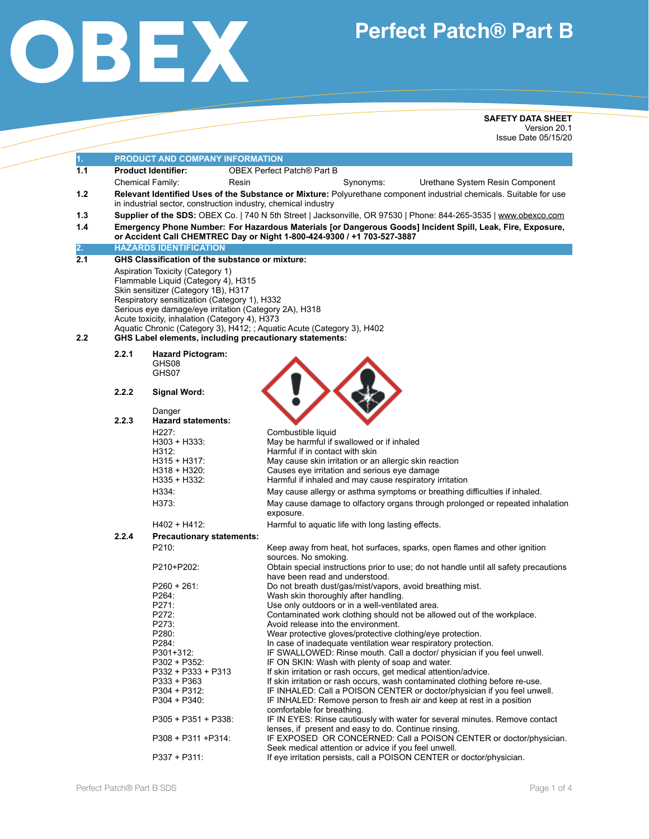

# **Perfect Patch® Part B**

**SAFETY DATA SHEET**  Version 20.1 Issue Date 05/15/20

| 1.<br>PRODUCT AND COMPANY INFORMATION<br>1.1<br><b>Product Identifier:</b><br><b>OBEX Perfect Patch® Part B</b><br>Chemical Family:<br>Synonyms:<br>Resin                                                                                                                                                                                                                                                            |                                                                                                            |  |  |  |  |
|----------------------------------------------------------------------------------------------------------------------------------------------------------------------------------------------------------------------------------------------------------------------------------------------------------------------------------------------------------------------------------------------------------------------|------------------------------------------------------------------------------------------------------------|--|--|--|--|
|                                                                                                                                                                                                                                                                                                                                                                                                                      |                                                                                                            |  |  |  |  |
|                                                                                                                                                                                                                                                                                                                                                                                                                      |                                                                                                            |  |  |  |  |
|                                                                                                                                                                                                                                                                                                                                                                                                                      | Urethane System Resin Component                                                                            |  |  |  |  |
| 1.2<br>Relevant Identified Uses of the Substance or Mixture: Polyurethane component industrial chemicals. Suitable for use<br>in industrial sector, construction industry, chemical industry                                                                                                                                                                                                                         |                                                                                                            |  |  |  |  |
| Supplier of the SDS: OBEX Co.   740 N 5th Street   Jacksonville, OR 97530   Phone: 844-265-3535   www.obexco.com<br>1.3                                                                                                                                                                                                                                                                                              |                                                                                                            |  |  |  |  |
| 1.4<br>or Accident Call CHEMTREC Day or Night 1-800-424-9300 / +1 703-527-3887                                                                                                                                                                                                                                                                                                                                       | Emergency Phone Number: For Hazardous Materials [or Dangerous Goods] Incident Spill, Leak, Fire, Exposure, |  |  |  |  |
| 2.<br><b>HAZARDS IDENTIFICATION</b>                                                                                                                                                                                                                                                                                                                                                                                  |                                                                                                            |  |  |  |  |
| 2.1<br><b>GHS Classification of the substance or mixture:</b>                                                                                                                                                                                                                                                                                                                                                        |                                                                                                            |  |  |  |  |
| Aspiration Toxicity (Category 1)<br>Flammable Liquid (Category 4), H315<br>Skin sensitizer (Category 1B), H317<br>Respiratory sensitization (Category 1), H332<br>Serious eye damage/eye irritation (Category 2A), H318<br>Acute toxicity, inhalation (Category 4), H373<br>Aquatic Chronic (Category 3), H412; ; Aquatic Acute (Category 3), H402<br>2.2<br>GHS Label elements, including precautionary statements: |                                                                                                            |  |  |  |  |
| 2.2.1<br><b>Hazard Pictogram:</b>                                                                                                                                                                                                                                                                                                                                                                                    |                                                                                                            |  |  |  |  |
| GHS08                                                                                                                                                                                                                                                                                                                                                                                                                |                                                                                                            |  |  |  |  |
| GHS07                                                                                                                                                                                                                                                                                                                                                                                                                |                                                                                                            |  |  |  |  |
| 2.2.2                                                                                                                                                                                                                                                                                                                                                                                                                |                                                                                                            |  |  |  |  |
| <b>Signal Word:</b>                                                                                                                                                                                                                                                                                                                                                                                                  |                                                                                                            |  |  |  |  |
| Danger                                                                                                                                                                                                                                                                                                                                                                                                               |                                                                                                            |  |  |  |  |
| 2.2.3<br><b>Hazard statements:</b>                                                                                                                                                                                                                                                                                                                                                                                   |                                                                                                            |  |  |  |  |
| H227:<br>Combustible liquid                                                                                                                                                                                                                                                                                                                                                                                          |                                                                                                            |  |  |  |  |
| May be harmful if swallowed or if inhaled<br>H303 + H333:                                                                                                                                                                                                                                                                                                                                                            |                                                                                                            |  |  |  |  |
| H312:<br>Harmful if in contact with skin                                                                                                                                                                                                                                                                                                                                                                             |                                                                                                            |  |  |  |  |
| $H315 + H317$ :<br>May cause skin irritation or an allergic skin reaction                                                                                                                                                                                                                                                                                                                                            |                                                                                                            |  |  |  |  |
| Causes eye irritation and serious eye damage<br>$H318 + H320:$<br>$H335 + H332$ :<br>Harmful if inhaled and may cause respiratory irritation                                                                                                                                                                                                                                                                         |                                                                                                            |  |  |  |  |
|                                                                                                                                                                                                                                                                                                                                                                                                                      |                                                                                                            |  |  |  |  |
| H334:<br>May cause allergy or asthma symptoms or breathing difficulties if inhaled.                                                                                                                                                                                                                                                                                                                                  |                                                                                                            |  |  |  |  |
| H373:<br>May cause damage to olfactory organs through prolonged or repeated inhalation<br>exposure.                                                                                                                                                                                                                                                                                                                  |                                                                                                            |  |  |  |  |
| Harmful to aquatic life with long lasting effects.<br>H402 + H412:                                                                                                                                                                                                                                                                                                                                                   |                                                                                                            |  |  |  |  |
| 2.2.4<br><b>Precautionary statements:</b>                                                                                                                                                                                                                                                                                                                                                                            |                                                                                                            |  |  |  |  |
| P210:<br>Keep away from heat, hot surfaces, sparks, open flames and other ignition                                                                                                                                                                                                                                                                                                                                   |                                                                                                            |  |  |  |  |
| sources. No smoking.                                                                                                                                                                                                                                                                                                                                                                                                 |                                                                                                            |  |  |  |  |
| Obtain special instructions prior to use; do not handle until all safety precautions<br>P210+P202:                                                                                                                                                                                                                                                                                                                   |                                                                                                            |  |  |  |  |
| have been read and understood.                                                                                                                                                                                                                                                                                                                                                                                       |                                                                                                            |  |  |  |  |
| Do not breath dust/gas/mist/vapors, avoid breathing mist.<br>$P260 + 261$<br>P264:                                                                                                                                                                                                                                                                                                                                   |                                                                                                            |  |  |  |  |
| Wash skin thoroughly after handling.<br>P271:<br>Use only outdoors or in a well-ventilated area.                                                                                                                                                                                                                                                                                                                     |                                                                                                            |  |  |  |  |
| P272:<br>Contaminated work clothing should not be allowed out of the workplace.                                                                                                                                                                                                                                                                                                                                      |                                                                                                            |  |  |  |  |
| P273:<br>Avoid release into the environment.                                                                                                                                                                                                                                                                                                                                                                         |                                                                                                            |  |  |  |  |
| P280:<br>Wear protective gloves/protective clothing/eye protection.                                                                                                                                                                                                                                                                                                                                                  |                                                                                                            |  |  |  |  |
| P284:<br>In case of inadequate ventilation wear respiratory protection.                                                                                                                                                                                                                                                                                                                                              |                                                                                                            |  |  |  |  |
| P301+312:<br>IF SWALLOWED: Rinse mouth. Call a doctor/ physician if you feel unwell.                                                                                                                                                                                                                                                                                                                                 |                                                                                                            |  |  |  |  |
|                                                                                                                                                                                                                                                                                                                                                                                                                      |                                                                                                            |  |  |  |  |
| $P302 + P352$<br>IF ON SKIN: Wash with plenty of soap and water.                                                                                                                                                                                                                                                                                                                                                     |                                                                                                            |  |  |  |  |
| P332 + P333 + P313<br>If skin irritation or rash occurs, get medical attention/advice.                                                                                                                                                                                                                                                                                                                               |                                                                                                            |  |  |  |  |
| P333 + P363<br>If skin irritation or rash occurs, wash contaminated clothing before re-use.                                                                                                                                                                                                                                                                                                                          |                                                                                                            |  |  |  |  |
| $P304 + P312$ :<br>IF INHALED: Call a POISON CENTER or doctor/physician if you feel unwell.                                                                                                                                                                                                                                                                                                                          |                                                                                                            |  |  |  |  |
| $P304 + P340$ :<br>IF INHALED: Remove person to fresh air and keep at rest in a position                                                                                                                                                                                                                                                                                                                             |                                                                                                            |  |  |  |  |
| comfortable for breathing.<br>$P305 + P351 + P338$<br>IF IN EYES: Rinse cautiously with water for several minutes. Remove contact                                                                                                                                                                                                                                                                                    |                                                                                                            |  |  |  |  |
| lenses, if present and easy to do. Continue rinsing.<br>P308 + P311 + P314:<br>IF EXPOSED OR CONCERNED: Call a POISON CENTER or doctor/physician.<br>Seek medical attention or advice if you feel unwell.                                                                                                                                                                                                            |                                                                                                            |  |  |  |  |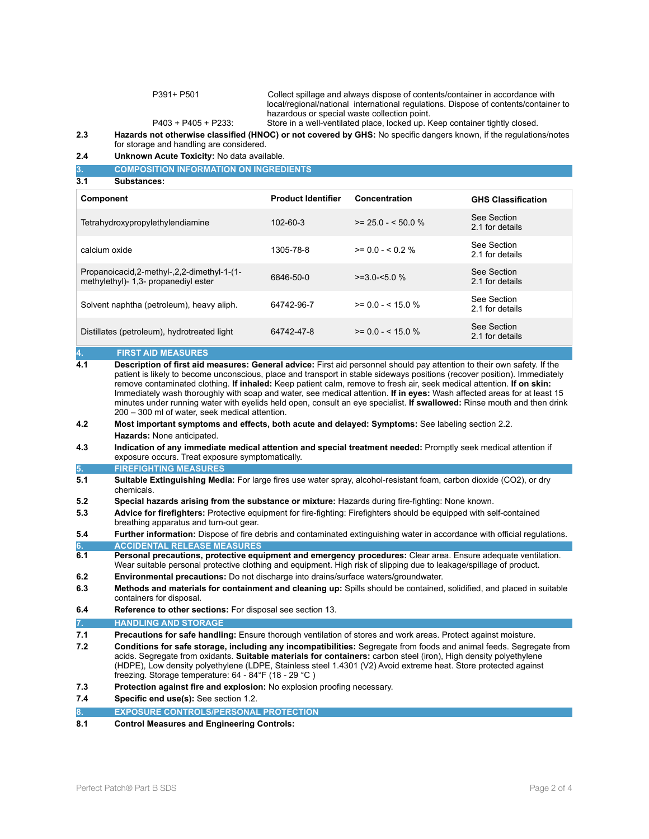P391+ P501 Collect spillage and always dispose of contents/container in accordance with local/regional/national international regulations. Dispose of contents/container to hazardous or special waste collection point.<br>P403 + P405 + P233: Store in a well-ventilated place, locked up. K Store in a well-ventilated place, locked up. Keep container tightly closed.

**2.3 Hazards not otherwise classified (HNOC) or not covered by GHS:** No specific dangers known, if the regulations/notes for storage and handling are considered.

**2.4 Unknown Acute Toxicity:** No data available.

**3. COMPOSITION INFORMATION ON INGREDIENTS** 

**3.1 Substances:** 

| Component                                                                                | <b>Product Identifier</b> | Concentration      | <b>GHS Classification</b>      |
|------------------------------------------------------------------------------------------|---------------------------|--------------------|--------------------------------|
| Tetrahydroxypropylethylendiamine                                                         | $102 - 60 - 3$            | $>= 25.0 - 50.0 %$ | See Section<br>2.1 for details |
| calcium oxide                                                                            | 1305-78-8                 | $>= 0.0 - < 0.2$ % | See Section<br>2.1 for details |
| -1)-1-Propanoicacid, 2-methyl-, 2, 2-dimethyl-1-<br>methylethyl)- 1,3- propanediyl ester | 6846-50-0                 | $>=30-50%$         | See Section<br>2.1 for details |
| Solvent naphtha (petroleum), heavy aliph.                                                | 64742-96-7                | $>= 0.0 - 5.0 %$   | See Section<br>2.1 for details |
| Distillates (petroleum), hydrotreated light                                              | 64742-47-8                | $>= 0.0 - 5.0 %$   | See Section<br>2.1 for details |

### **4. FIRST AID MEASURES**

**4.1 Description of first aid measures: General advice:** First aid personnel should pay attention to their own safety. If the patient is likely to become unconscious, place and transport in stable sideways positions (recover position). Immediately remove contaminated clothing. **If inhaled:** Keep patient calm, remove to fresh air, seek medical attention. **If on skin:**  Immediately wash thoroughly with soap and water, see medical attention. **If in eyes:** Wash affected areas for at least 15 minutes under running water with eyelids held open, consult an eye specialist. **If swallowed:** Rinse mouth and then drink 200 – 300 ml of water, seek medical attention.

- **4.2 Most important symptoms and effects, both acute and delayed: Symptoms:** See labeling section 2.2. **Hazards:** None anticipated.
- **4.3 Indication of any immediate medical attention and special treatment needed:** Promptly seek medical attention if exposure occurs. Treat exposure symptomatically.

#### **5. FIREFIGHTING MEASURES**

- **5.1 Suitable Extinguishing Media:** For large fires use water spray, alcohol-resistant foam, carbon dioxide (CO2), or dry chemicals.
- **5.2 Special hazards arising from the substance or mixture:** Hazards during fire-fighting: None known.
- **5.3 Advice for firefighters:** Protective equipment for fire-fighting: Firefighters should be equipped with self-contained breathing apparatus and turn-out gear.

**5.4 Further information:** Dispose of fire debris and contaminated extinguishing water in accordance with official regulations. **6. ACCIDENTAL RELEASE MEASURES** 

- **6.1 Personal precautions, protective equipment and emergency procedures:** Clear area. Ensure adequate ventilation. Wear suitable personal protective clothing and equipment. High risk of slipping due to leakage/spillage of product.
- **6.2 Environmental precautions:** Do not discharge into drains/surface waters/groundwater.
- **6.3 Methods and materials for containment and cleaning up:** Spills should be contained, solidified, and placed in suitable containers for disposal.
- **6.4 Reference to other sections:** For disposal see section 13.

#### **7. HANDLING AND STORAGE**

- **7.1 Precautions for safe handling:** Ensure thorough ventilation of stores and work areas. Protect against moisture.
- **7.2 Conditions for safe storage, including any incompatibilities:** Segregate from foods and animal feeds. Segregate from acids. Segregate from oxidants. **Suitable materials for containers:** carbon steel (iron), High density polyethylene (HDPE), Low density polyethylene (LDPE, Stainless steel 1.4301 (V2) Avoid extreme heat. Store protected against freezing. Storage temperature: 64 - 84°F (18 - 29 °C )
- **7.3 Protection against fire and explosion:** No explosion proofing necessary.
- **7.4 Specific end use(s):** See section 1.2.
- **EXPOSURE CONTROLS/PERSONAL PROTECTION**
- **8.1 Control Measures and Engineering Controls:**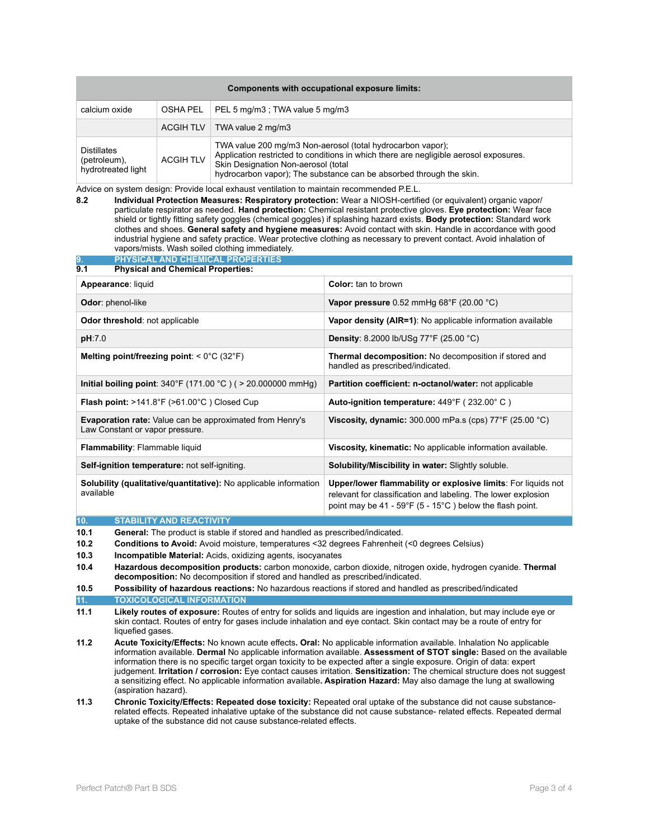| Components with occupational exposure limits:            |                  |                                                                                                                                                                                                                                                                   |  |  |
|----------------------------------------------------------|------------------|-------------------------------------------------------------------------------------------------------------------------------------------------------------------------------------------------------------------------------------------------------------------|--|--|
| calcium oxide                                            | OSHA PEL         | PEL 5 mg/m3 ; TWA value 5 mg/m3                                                                                                                                                                                                                                   |  |  |
|                                                          | ACGIH TLV        | TWA value 2 mg/m3                                                                                                                                                                                                                                                 |  |  |
| <b>Distillates</b><br>(petroleum),<br>hydrotreated light | <b>ACGIH TLV</b> | TWA value 200 mg/m3 Non-aerosol (total hydrocarbon vapor);<br>Application restricted to conditions in which there are negligible aerosol exposures.<br>Skin Designation Non-aerosol (total<br>hydrocarbon vapor); The substance can be absorbed through the skin. |  |  |

Advice on system design: Provide local exhaust ventilation to maintain recommended P.E.L.

**8.2 Individual Protection Measures: Respiratory protection:** Wear a NIOSH-certified (or equivalent) organic vapor/ particulate respirator as needed. **Hand protection:** Chemical resistant protective gloves. **Eye protection:** Wear face shield or tightly fitting safety goggles (chemical goggles) if splashing hazard exists. **Body protection:** Standard work clothes and shoes. **General safety and hygiene measures:** Avoid contact with skin. Handle in accordance with good industrial hygiene and safety practice. Wear protective clothing as necessary to prevent contact. Avoid inhalation of vapors/mists. Wash soiled clothing immediately.

| PHYSICAL AND CHEMICAL PROPERTIES<br>9.                                                             |                                                                                                                                                                                                                |  |
|----------------------------------------------------------------------------------------------------|----------------------------------------------------------------------------------------------------------------------------------------------------------------------------------------------------------------|--|
| 9.1<br><b>Physical and Chemical Properties:</b>                                                    |                                                                                                                                                                                                                |  |
| Appearance: liquid                                                                                 | <b>Color:</b> tan to brown                                                                                                                                                                                     |  |
| Odor: phenol-like                                                                                  | Vapor pressure $0.52$ mmHg $68^{\circ}$ F (20.00 $^{\circ}$ C)                                                                                                                                                 |  |
| Odor threshold: not applicable                                                                     | Vapor density (AIR=1): No applicable information available                                                                                                                                                     |  |
| pH:7.0                                                                                             | <b>Density:</b> 8.2000 lb/USg 77 $\degree$ F (25.00 $\degree$ C)                                                                                                                                               |  |
| Melting point/freezing point: $< 0^{\circ}$ C (32 $^{\circ}$ F)                                    | Thermal decomposition: No decomposition if stored and<br>handled as prescribed/indicated.                                                                                                                      |  |
| <b>Initial boiling point:</b> 340°F (171.00 °C ) ( > 20.000000 mmHg)                               | Partition coefficient: n-octanol/water: not applicable                                                                                                                                                         |  |
| <b>Flash point:</b> $>141.8^{\circ}F$ ( $>61.00^{\circ}C$ ) Closed Cup                             | Auto-ignition temperature: 449°F (232.00°C)                                                                                                                                                                    |  |
| <b>Evaporation rate:</b> Value can be approximated from Henry's<br>Law Constant or vapor pressure. | Viscosity, dynamic: 300.000 mPa.s (cps) $77^{\circ}$ F (25.00 $^{\circ}$ C)                                                                                                                                    |  |
| Flammability: Flammable liquid                                                                     | <b>Viscosity, kinematic:</b> No applicable information available.                                                                                                                                              |  |
| Self-ignition temperature: not self-igniting.                                                      | <b>Solubility/Miscibility in water: Slightly soluble.</b>                                                                                                                                                      |  |
| Solubility (qualitative/quantitative): No applicable information<br>available                      | Upper/lower flammability or explosive limits: For liquids not<br>relevant for classification and labeling. The lower explosion<br>point may be 41 - 59 $\degree$ F (5 - 15 $\degree$ C) below the flash point. |  |

#### **10. STABILITY AND REACTIVITY**

**10.1 General:** The product is stable if stored and handled as prescribed/indicated.

- **10.2 Conditions to Avoid:** Avoid moisture, temperatures <32 degrees Fahrenheit (<0 degrees Celsius)
- **10.3 Incompatible Material:** Acids, oxidizing agents, isocyanates

**10.5 Possibility of hazardous reactions:** No hazardous reactions if stored and handled as prescribed/indicated **11. TOXICOLOGICAL INFORMATION** 

- **11.2 Acute Toxicity/Effects:** No known acute effects**. Oral:** No applicable information available. Inhalation No applicable information available. **Dermal** No applicable information available. **Assessment of STOT single:** Based on the available information there is no specific target organ toxicity to be expected after a single exposure. Origin of data: expert judgement. **Irritation / corrosion:** Eye contact causes irritation. **Sensitization:** The chemical structure does not suggest a sensitizing effect. No applicable information available**. Aspiration Hazard:** May also damage the lung at swallowing (aspiration hazard).
- **11.3 Chronic Toxicity/Effects: Repeated dose toxicity:** Repeated oral uptake of the substance did not cause substance related effects. Repeated inhalative uptake of the substance did not cause substance- related effects. Repeated dermal uptake of the substance did not cause substance-related effects.

**<sup>10.4</sup> Hazardous decomposition products:** carbon monoxide, carbon dioxide, nitrogen oxide, hydrogen cyanide. **Thermal decomposition:** No decomposition if stored and handled as prescribed/indicated.

**<sup>11.1</sup> Likely routes of exposure:** Routes of entry for solids and liquids are ingestion and inhalation, but may include eye or skin contact. Routes of entry for gases include inhalation and eye contact. Skin contact may be a route of entry for liquefied gases.